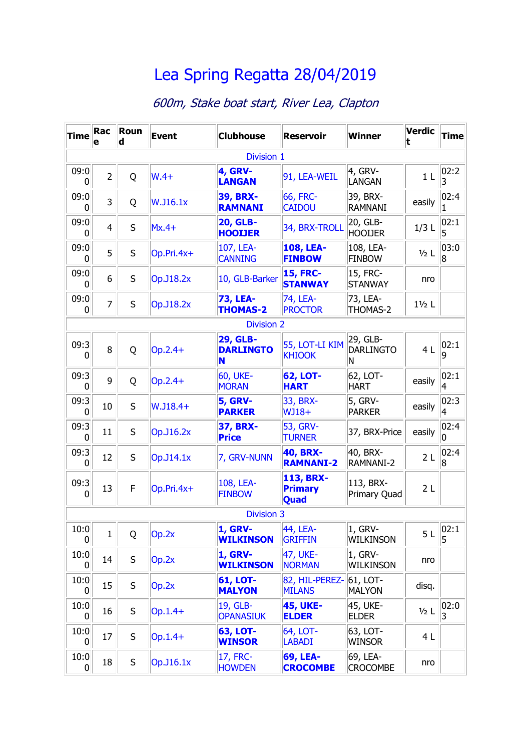## [Lea Spring Regatta 28/04/2019](file:///C:/Users/USER/Desktop/Regatta_Files/HTML_Files/index.html)

## 600m, Stake boat start, River Lea, Clapton

| <b>Time</b> | Rac<br>е       | Roun<br>d | <b>Event</b> | <b>Clubhouse</b>                         | <b>Reservoir</b>                    | <b>Winner</b>                     | <b>Verdic</b><br>t | <b>Time</b>             |
|-------------|----------------|-----------|--------------|------------------------------------------|-------------------------------------|-----------------------------------|--------------------|-------------------------|
|             |                |           |              | <b>Division 1</b>                        |                                     |                                   |                    |                         |
| 09:0<br>0   | $\overline{2}$ | Q         | $W.4+$       | <b>4, GRV-</b><br><b>LANGAN</b>          | 91, LEA-WEIL                        | $4,$ GRV-<br><b>LANGAN</b>        | 1 <sub>L</sub>     | 02:2 <br>3              |
| 09:0<br>0   | 3              | Q         | W.J16.1x     | <b>39, BRX-</b><br><b>RAMNANI</b>        | 66, FRC-<br><b>CAIDOU</b>           | 39, BRX-<br><b>RAMNANI</b>        | easily             | 02:4                    |
| 09:0<br>0   | $\overline{4}$ | S         | $Mx.4+$      | <b>20, GLB-</b><br><b>HOOIJER</b>        | 34, BRX-TROLL                       | 20, GLB-<br><b>HOOIJER</b>        | $1/3$ L            | 02:1<br>5               |
| 09:0<br>0   | 5              | S         | $Op.Pri.4x+$ | 107, LEA-<br><b>CANNING</b>              | <b>108, LEA-</b><br><b>FINBOW</b>   | 108, LEA-<br><b>FINBOW</b>        | $1/2$ L            | 03:0<br>8               |
| 09:0<br>0   | 6              | S         | Op.J18.2x    | 10, GLB-Barker                           | <b>15, FRC-</b><br><b>STANWAY</b>   | 15, FRC-<br><b>STANWAY</b>        | nro                |                         |
| 09:0<br>0   | 7              | S         | Op.J18.2x    | <b>73, LEA-</b><br><b>THOMAS-2</b>       | 74, LEA-<br><b>PROCTOR</b>          | 73, LEA-<br>THOMAS-2              | $1\frac{1}{2}$ L   |                         |
|             |                |           |              | <b>Division 2</b>                        |                                     |                                   |                    |                         |
| 09:3<br>0   | 8              | Q         | $Op.2.4+$    | <b>29, GLB-</b><br><b>DARLINGTO</b><br>N | 55, LOT-LI KIM<br><b>KHIOOK</b>     | 29, GLB-<br><b>DARLINGTO</b><br>N | 4L                 | 02:1 <br>q              |
| 09:3<br>0   | 9              | Q         | $Op.2.4+$    | <b>60, UKE-</b><br><b>MORAN</b>          | <b>62, LOT-</b><br><b>HART</b>      | 62, LOT-<br><b>HART</b>           | easily             | 02:1<br>4               |
| 09:3<br>0   | 10             | S         | $W.$ J18.4+  | <b>5, GRV-</b><br><b>PARKER</b>          | 33, BRX-<br>$WJ18+$                 | 5, GRV-<br><b>PARKER</b>          | easily             | 02:3 <br>4              |
| 09:3<br>0   | 11             | S         | Op.J16.2x    | <b>37, BRX-</b><br><b>Price</b>          | 53, GRV-<br><b>TURNER</b>           | 37, BRX-Price                     | easily             | 02:4 <br>n              |
| 09:3<br>0   | 12             | S         | Op. J14.1x   | 7, GRV-NUNN                              | <b>40, BRX-</b><br><b>RAMNANI-2</b> | 40, BRX-<br>RAMNANI-2             | 2L                 | 02:4 <br>$\overline{8}$ |
| 09:3<br>0   | 13             | F         | $Op.Pri.4x+$ | 108, LEA-<br><b>FINBOW</b>               | 113, BRX-<br><b>Primary</b><br>Quad | 113, BRX-<br>Primary Quad         | 2L                 |                         |
|             |                |           |              | <b>Division 3</b>                        |                                     |                                   |                    |                         |
| 10:0<br>0   | $\mathbf{1}$   | Q         | Op.2x        | <b>1, GRV-</b><br><b>WILKINSON</b>       | 44, LEA-<br><b>GRIFFIN</b>          | 1, GRV-<br>WILKINSON              | 5 <sub>L</sub>     | 02:1                    |
| 10:0<br>0   | 14             | S         | Op.2x        | <b>1, GRV-</b><br><b>WILKINSON</b>       | 47, UKE-<br><b>NORMAN</b>           | 1, GRV-<br>WILKINSON              | nro                |                         |
| 10:0<br>0   | 15             | $\sf S$   | Op.2x        | <b>61, LOT-</b><br><b>MALYON</b>         | 82, HIL-PEREZ-<br><b>MILANS</b>     | 61, LOT-<br><b>MALYON</b>         | disq.              |                         |
| 10:0<br>0   | 16             | S         | $Op.1.4+$    | 19, GLB-<br><b>OPANASIUK</b>             | <b>45, UKE-</b><br><b>ELDER</b>     | 45, UKE-<br><b>ELDER</b>          | $1/2$ L            | 02:0<br>3               |
| 10:0<br>0   | 17             | S         | $Op.1.4+$    | <b>63, LOT-</b><br><b>WINSOR</b>         | 64, LOT-<br><b>LABADI</b>           | 63, LOT-<br>Winsor                | 4 <sub>L</sub>     |                         |
| 10:0<br>0   | 18             | S         | Op.J16.1x    | 17, FRC-<br><b>HOWDEN</b>                | <b>69, LEA-</b><br><b>CROCOMBE</b>  | 69, LEA-<br><b>CROCOMBE</b>       | nro                |                         |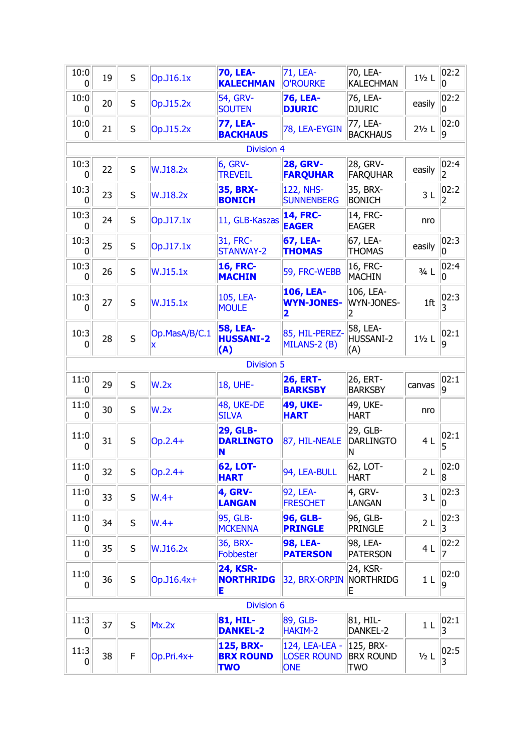| 10:0<br>0            | 19                | S | Op. J16.1x      | <b>70, LEA-</b><br><b>KALECHMAN</b>        | 71, LEA-<br><b>O'ROURKE</b>                               | 70, LEA-<br><b>KALECHMAN</b>      | $1\frac{1}{2}$ L | 02:2<br>0   |  |  |
|----------------------|-------------------|---|-----------------|--------------------------------------------|-----------------------------------------------------------|-----------------------------------|------------------|-------------|--|--|
| 10:0<br>0            | 20                | S | Op.J15.2x       | 54, GRV-<br><b>SOUTEN</b>                  | <b>76, LEA-</b><br><b>DJURIC</b>                          | 76, LEA-<br><b>DJURIC</b>         | easily           | 02:2 <br>0  |  |  |
| 10:0<br>0            | 21                | S | Op.J15.2x       | <b>77, LEA-</b><br><b>BACKHAUS</b>         | 78, LEA-EYGIN                                             | 77, LEA-<br><b>BACKHAUS</b>       | $2\frac{1}{2}$ L | 02:0 <br>9  |  |  |
|                      |                   |   |                 | <b>Division 4</b>                          |                                                           |                                   |                  |             |  |  |
| 10:3<br>0            | 22                | S | <b>W.J18.2x</b> | <b>6, GRV-</b><br><b>TREVEIL</b>           | <b>28, GRV-</b><br><b>FARQUHAR</b>                        | 28, GRV-<br><b>FARQUHAR</b>       | easily           | 02:4 <br>2  |  |  |
| 10:3<br>0            | 23                | S | <b>W.J18.2x</b> | <b>35, BRX-</b><br><b>BONICH</b>           | <b>122, NHS-</b><br><b>SUNNENBERG</b>                     | 35, BRX-<br><b>BONICH</b>         | 3L               | 02:2 <br>2  |  |  |
| 10:3<br>0            | 24                | S | Op.J17.1x       | 11, GLB-Kaszas                             | <b>14, FRC-</b><br><b>EAGER</b>                           | 14, FRC-<br><b>EAGER</b>          | nro              |             |  |  |
| 10:3<br>0            | 25                | S | Op.J17.1x       | 31, FRC-<br>STANWAY-2                      | <b>67, LEA-</b><br><b>THOMAS</b>                          | 67, LEA-<br><b>THOMAS</b>         | easily           | 02:3 <br>0  |  |  |
| 10:3<br>$\mathbf{0}$ | 26                | S | W.J15.1x        | <b>16, FRC-</b><br><b>MACHIN</b>           | 59, FRC-WEBB                                              | 16, FRC-<br><b>MACHIN</b>         | $3/4$ L          | 02:4 <br>0  |  |  |
| 10:3<br>0            | 27                | S | W.J15.1x        | 105, LEA-<br><b>MOULE</b>                  | 106, LEA-<br><b>WYN-JONES-</b><br>$\overline{\mathbf{2}}$ | 106, LEA-<br>WYN-JONES-<br>2      | 1 <sup>ft</sup>  | 02:3<br>3   |  |  |
| 10:3<br>0            | 28                | S | Op.MasA/B/C.1   | <b>58, LEA-</b><br><b>HUSSANI-2</b><br>(A) | 85, HIL-PEREZ-<br>MILANS-2 (B)                            | 58, LEA-<br>HUSSANI-2<br>(A)      | $1\frac{1}{2}$ L | 02:1 <br>q  |  |  |
| <b>Division 5</b>    |                   |   |                 |                                            |                                                           |                                   |                  |             |  |  |
| 11:0<br>0            | 29                | S | W.2x            | <b>18, UHE-</b>                            | <b>26, ERT-</b><br><b>BARKSBY</b>                         | 26, ERT-<br><b>BARKSBY</b>        | canvas           | 02:1 <br>9  |  |  |
| 11:0<br>$\mathbf{0}$ | 30                | S | W.2x            | 48, UKE-DE<br><b>SILVA</b>                 | <b>49, UKE-</b><br><b>HART</b>                            | 49, UKE-<br><b>HART</b>           | nro              |             |  |  |
| 11:0<br>0            | 31                | S | Op.2.4+         | <b>29, GLB-</b><br><b>DARLINGTO</b><br>N   | 87, HIL-NEALE                                             | 29, GLB-<br><b>DARLINGTO</b><br>N | 4L               | 02:1 <br>5  |  |  |
| 11:0<br>0            | 32                | S | $Op.2.4+$       | 62, LOT-<br><b>HART</b>                    | 94, LEA-BULL                                              | 62, LOT-<br><b>HART</b>           | 2L               | 02:0<br>8   |  |  |
| 11:0<br>$\mathbf{0}$ | 33                | S | $W.4+$          | <b>4, GRV-</b><br><b>LANGAN</b>            | 92, LEA-<br><b>FRESCHET</b>                               | 4, GRV-<br>LANGAN                 | 3L               | 02:3 <br>10 |  |  |
| 11:0<br>0            | 34                | S | $W.4+$          | 95, GLB-<br><b>MCKENNA</b>                 | <b>96, GLB-</b><br><b>PRINGLE</b>                         | 96, GLB-<br><b>PRINGLE</b>        | 2L               | 02:3 <br>3  |  |  |
| 11:0<br>0            | 35                | S | W.J16.2x        | 36, BRX-<br><b>Fobbester</b>               | <b>98, LEA-</b><br><b>PATERSON</b>                        | 98, LEA-<br><b>PATERSON</b>       | 4 L              | 02:2        |  |  |
| 11:0<br>0            | 36                | S | Op.J16.4x+      | <b>24, KSR-</b><br><b>NORTHRIDG</b><br>Е   | 32, BRX-ORPIN                                             | 24, KSR-<br>NORTHRIDG<br>Ε        | 1 <sub>L</sub>   | 02:0<br>9   |  |  |
|                      | <b>Division 6</b> |   |                 |                                            |                                                           |                                   |                  |             |  |  |
| 11:3<br>0            | 37                | S | Mx.2x           | 81, HIL-<br><b>DANKEL-2</b>                | 89, GLB-<br>HAKIM-2                                       | 81, HIL-<br>DANKEL-2              | 1 <sub>L</sub>   | 02:1 <br>3  |  |  |
| 11:3                 |                   |   |                 | <b>125, BRX-</b>                           | 124, LEA-LEA -                                            | 125, BRX-                         |                  |             |  |  |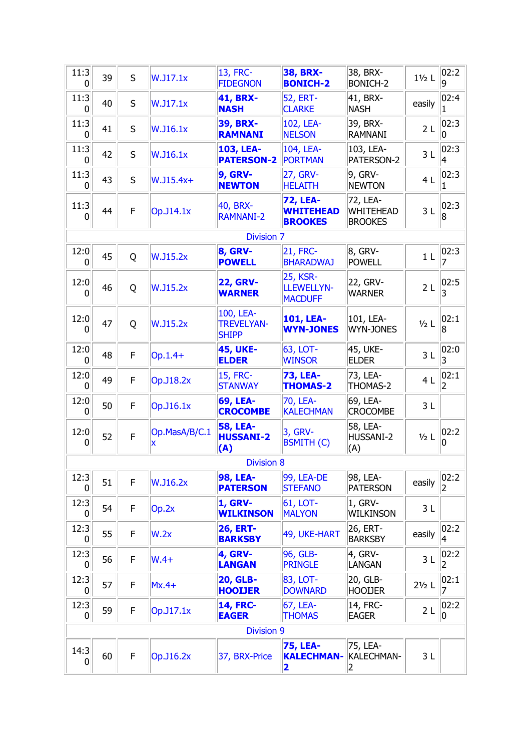| 11:3<br>0 | 39 | S           | W.J17.1x        | 13, FRC-<br><b>FIDEGNON</b>                    | <b>38, BRX-</b><br><b>BONICH-2</b>                    | 38, BRX-<br><b>BONICH-2</b>                    | $1\frac{1}{2}$ L | 02:2       |
|-----------|----|-------------|-----------------|------------------------------------------------|-------------------------------------------------------|------------------------------------------------|------------------|------------|
| 11:3<br>0 | 40 | S           | W.J17.1x        | <b>41, BRX-</b><br><b>NASH</b>                 | <b>52, ERT-</b><br><b>CLARKE</b>                      | 41, BRX-<br><b>NASH</b>                        | easily           | 02:4 <br>1 |
| 11:3<br>0 | 41 | S           | W.J16.1x        | <b>39, BRX-</b><br><b>RAMNANI</b>              | 102, LEA-<br><b>NELSON</b>                            | 39, BRX-<br><b>RAMNANI</b>                     | 2L               | 02:3 <br>O |
| 11:3<br>0 | 42 | S           | W.J16.1x        | 103, LEA-<br><b>PATERSON-2</b>                 | 104, LEA-<br><b>PORTMAN</b>                           | 103, LEA-<br>PATERSON-2                        | 3L               | 02:3 <br>4 |
| 11:3<br>0 | 43 | S           | $W.J15.4x+$     | <b>9, GRV-</b><br><b>NEWTON</b>                | 27, GRV-<br><b>HELAITH</b>                            | 9, GRV-<br><b>NEWTON</b>                       | 4L               | 02:3       |
| 11:3<br>0 | 44 | F           | Op. J14.1x      | 40, BRX-<br><b>RAMNANI-2</b>                   | <b>72, LEA-</b><br><b>WHITEHEAD</b><br><b>BROOKES</b> | 72, LEA-<br><b>WHITEHEAD</b><br><b>BROOKES</b> | 3L               | 02:3 <br>8 |
|           |    |             |                 | <b>Division 7</b>                              |                                                       |                                                |                  |            |
| 12:0<br>0 | 45 | Q           | W.J15.2x        | <b>8, GRV-</b><br><b>POWELL</b>                | <b>21, FRC-</b><br><b>BHARADWAJ</b>                   | 8, GRV-<br><b>POWELL</b>                       | 1 <sub>L</sub>   | 02:3       |
| 12:0<br>0 | 46 | Q           | <b>W.J15.2x</b> | <b>22, GRV-</b><br><b>WARNER</b>               | <b>25, KSR-</b><br>LLEWELLYN-<br><b>MACDUFF</b>       | 22, GRV-<br><b>WARNER</b>                      | 2L               | 02:5 <br>3 |
| 12:0<br>0 | 47 | Q           | <b>W.J15.2x</b> | 100, LEA-<br><b>TREVELYAN-</b><br><b>SHIPP</b> | 101, LEA-<br><b>WYN-JONES</b>                         | 101, LEA-<br><b>WYN-JONES</b>                  | $1/2$ L          | 02:1<br>8  |
| 12:0<br>0 | 48 | F           | $Op.1.4+$       | <b>45, UKE-</b><br><b>ELDER</b>                | 63, LOT-<br><b>WINSOR</b>                             | 45, UKE-<br><b>ELDER</b>                       | 3L               | 02:0<br>3  |
| 12:0<br>0 | 49 | F           | Op.J18.2x       | <b>15, FRC-</b><br><b>STANWAY</b>              | <b>73, LEA-</b><br><b>THOMAS-2</b>                    | 73, LEA-<br>THOMAS-2                           | 4L               | 02:1<br>2  |
| 12:0<br>0 | 50 | F           | Op.J16.1x       | <b>69, LEA-</b><br><b>CROCOMBE</b>             | 70, LEA-<br><b>KALECHMAN</b>                          | 69, LEA-<br><b>CROCOMBE</b>                    | 3L               |            |
| 12:0<br>0 | 52 | $\mathsf F$ | Op.MasA/B/C.1   | <b>58, LEA-</b><br><b>HUSSANI-2</b><br>(A)     | 3, GRV-<br><b>BSMITH (C)</b>                          | 58, LEA-<br>HUSSANI-2<br>(A)                   | $1/2$ L          | 02:2<br>0  |
|           |    |             |                 | <b>Division 8</b>                              |                                                       |                                                |                  |            |
| 12:3<br>0 | 51 | F           | W.J16.2x        | <b>98, LEA-</b><br><b>PATERSON</b>             | 99, LEA-DE<br><b>STEFANO</b>                          | 98, LEA-<br><b>PATERSON</b>                    | easily           | 02:2 <br>2 |
| 12:3<br>0 | 54 | F           | Op.2x           | <b>1, GRV-</b><br><b>WILKINSON</b>             | 61, LOT-<br><b>MALYON</b>                             | 1, GRV-<br>Wilkinson                           | 3L               |            |
| 12:3<br>0 | 55 | F           | W.2x            | <b>26, ERT-</b><br><b>BARKSBY</b>              | 49, UKE-HART                                          | 26, ERT-<br><b>BARKSBY</b>                     | easily           | 02:2 <br>4 |
| 12:3<br>0 | 56 | F           | $W.4+$          | <b>4, GRV-</b><br><b>LANGAN</b>                | 96, GLB-<br><b>PRINGLE</b>                            | 4, GRV-<br><b>LANGAN</b>                       | 3L               | 02:2 <br>2 |
| 12:3<br>0 | 57 | F           | $Mx.4+$         | <b>20, GLB-</b><br><b>HOOIJER</b>              | 83, LOT-<br><b>DOWNARD</b>                            | 20, GLB-<br><b>HOOIJER</b>                     | $2\frac{1}{2}$ L | 02:1<br>7  |
| 12:3<br>0 | 59 | F           | Op.J17.1x       | <b>14, FRC-</b><br><b>EAGER</b>                | 67, LEA-<br><b>THOMAS</b>                             | 14, FRC-<br><b>EAGER</b>                       | 2 <sub>L</sub>   | 02:2 <br>0 |
|           |    |             |                 | <b>Division 9</b>                              |                                                       |                                                |                  |            |
| 14:3<br>0 | 60 | F           | Op.J16.2x       | 37, BRX-Price                                  | <b>75, LEA-</b><br><b>KALECHMAN-</b><br>2             | 75, LEA-<br>KALECHMAN-<br>2                    | 3L               |            |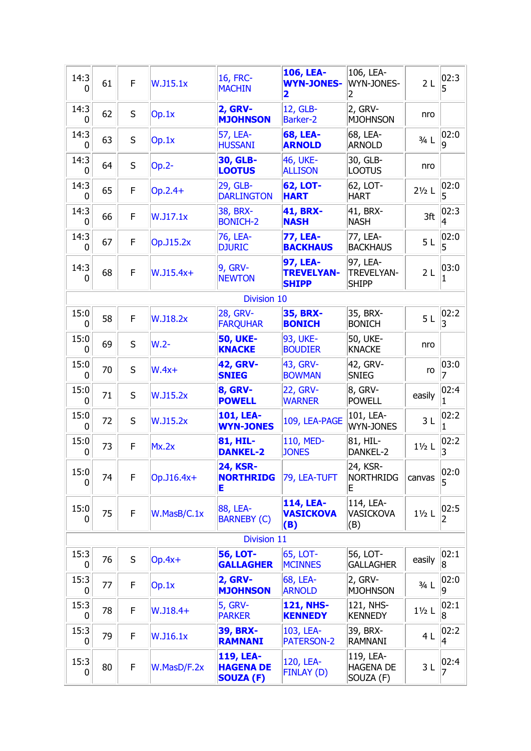| 14:3<br>0            | 61 | F | <b>W.J15.1x</b> | 16, FRC-<br><b>MACHIN</b>                         | 106, LEA-<br><b>WYN-JONES-</b><br>2                  | 106, LEA-<br>WYN-JONES-<br>2                  | 2 <sub>L</sub>   | 02:3 <br>5  |
|----------------------|----|---|-----------------|---------------------------------------------------|------------------------------------------------------|-----------------------------------------------|------------------|-------------|
| 14:3<br>0            | 62 | S | Op.1x           | <b>2, GRV-</b><br><b>MJOHNSON</b>                 | 12, GLB-<br><b>Barker-2</b>                          | 2, GRV-<br><b>MJOHNSON</b>                    | nro              |             |
| 14:3<br>$\mathbf{0}$ | 63 | S | Op.1x           | 57, LEA-<br><b>HUSSANI</b>                        | <b>68, LEA-</b><br><b>ARNOLD</b>                     | 68, LEA-<br><b>ARNOLD</b>                     | $3/4$ L          | 02:0<br>9   |
| 14:3<br>0            | 64 | S | $Op.2-$         | 30, GLB-<br><b>LOOTUS</b>                         | 46, UKE-<br><b>ALLISON</b>                           | 30, GLB-<br><b>LOOTUS</b>                     | nro              |             |
| 14:3<br>$\mathbf{0}$ | 65 | F | Op.2.4+         | 29, GLB-<br><b>DARLINGTON</b>                     | <b>62, LOT-</b><br><b>HART</b>                       | 62, LOT-<br><b>HART</b>                       | $2\frac{1}{2}$ L | 02:0<br>5   |
| 14:3<br>0            | 66 | F | W.J17.1x        | 38, BRX-<br><b>BONICH-2</b>                       | <b>41, BRX-</b><br><b>NASH</b>                       | 41, BRX-<br><b>NASH</b>                       | 3ft              | 02:3<br>4   |
| 14:3<br>$\mathbf{0}$ | 67 | F | Op.J15.2x       | 76, LEA-<br><b>DJURIC</b>                         | <b>77, LEA-</b><br><b>BACKHAUS</b>                   | 77, LEA-<br><b>BACKHAUS</b>                   | 5L               | 02:0<br>5   |
| 14:3<br>0            | 68 | F | $W.J15.4x+$     | 9, GRV-<br><b>NEWTON</b>                          | <b>97, LEA-</b><br><b>TREVELYAN-</b><br><b>SHIPP</b> | 97, LEA-<br><b>TREVELYAN-</b><br><b>SHIPP</b> | 2L               | 03:0        |
|                      |    |   |                 | <b>Division 10</b>                                |                                                      |                                               |                  |             |
| 15:0<br>0            | 58 | F | <b>W.J18.2x</b> | 28, GRV-<br><b>FARQUHAR</b>                       | <b>35, BRX-</b><br><b>BONICH</b>                     | 35, BRX-<br><b>BONICH</b>                     | 5L               | 02:2 <br>3  |
| 15:0<br>0            | 69 | S | $W.2-$          | <b>50, UKE-</b><br><b>KNACKE</b>                  | 93, UKE-<br><b>BOUDIER</b>                           | 50, UKE-<br><b>KNACKE</b>                     | nro              |             |
| 15:0<br>$\mathbf{0}$ | 70 | S | $W.4x+$         | <b>42, GRV-</b><br><b>SNIEG</b>                   | 43, GRV-<br><b>BOWMAN</b>                            | 42, GRV-<br><b>SNIEG</b>                      | ro               | 03:0        |
| 15:0<br>0            | 71 | S | <b>W.J15.2x</b> | <b>8, GRV-</b><br><b>POWELL</b>                   | <b>22, GRV-</b><br><b>WARNER</b>                     | 8, GRV-<br><b>POWELL</b>                      | easily           | 02:4        |
| 15:0<br>0            | 72 | S | <b>W.J15.2x</b> | 101, LEA-<br><b>WYN-JONES</b>                     | 109, LEA-PAGE                                        | 101, LEA-<br><b>WYN-JONES</b>                 | 3L               | 02:2        |
| 15:0<br>0            | 73 | F | Mx.2x           | 81, HIL-<br><b>DANKEL-2</b>                       | 110, MED-<br><b>JONES</b>                            | 81, HIL-<br>DANKEL-2                          | $1\frac{1}{2}$ L | 02:2 <br>13 |
| 15:0<br>0            | 74 | F | $Op.J16.4x+$    | <b>24, KSR-</b><br><b>NORTHRIDG</b><br>E          | 79, LEA-TUFT                                         | 24, KSR-<br><b>NORTHRIDG</b><br>Ε             | canvas           | 02:0<br>5   |
| 15:0<br>0            | 75 | F | W.MasB/C.1x     | 88, LEA-<br><b>BARNEBY (C)</b>                    | 114, LEA-<br><b>VASICKOVA</b><br>(B)                 | 114, LEA-<br>VASICKOVA<br>(B)                 | $1\frac{1}{2}$ L | 02:5<br>2   |
|                      |    |   |                 | Division 11                                       |                                                      |                                               |                  |             |
| 15:3<br>0            | 76 | S | $Op.4x+$        | <b>56, LOT-</b><br><b>GALLAGHER</b>               | 65, LOT-<br><b>MCINNES</b>                           | 56, LOT-<br><b>GALLAGHER</b>                  | easily           | 02:1 <br> 8 |
| 15:3<br>0            | 77 | F | Op.1x           | <b>2, GRV-</b><br><b>MJOHNSON</b>                 | 68, LEA-<br><b>ARNOLD</b>                            | 2, GRV-<br><b>MJOHNSON</b>                    | $3/4$ L          | 02:0<br>19  |
| 15:3<br>0            | 78 | F | $W.J18.4+$      | <b>5, GRV-</b><br><b>PARKER</b>                   | <b>121, NHS-</b><br><b>KENNEDY</b>                   | 121, NHS-<br><b>KENNEDY</b>                   | $1\frac{1}{2}$ L | 02:1 <br>8  |
| 15:3<br>$\mathbf{0}$ | 79 | F | W.J16.1x        | <b>39, BRX-</b><br><b>RAMNANI</b>                 | 103, LEA-<br><b>PATERSON-2</b>                       | 39, BRX-<br>RAMNANI                           | 4L               | 02:2 <br>4  |
| 15:3<br>0            | 80 | F | W.MasD/F.2x     | 119, LEA-<br><b>HAGENA DE</b><br><b>SOUZA (F)</b> | 120, LEA-<br><b>FINLAY (D)</b>                       | 119, LEA-<br><b>HAGENA DE</b><br>SOUZA (F)    | 3L               | 02:4 <br>7  |